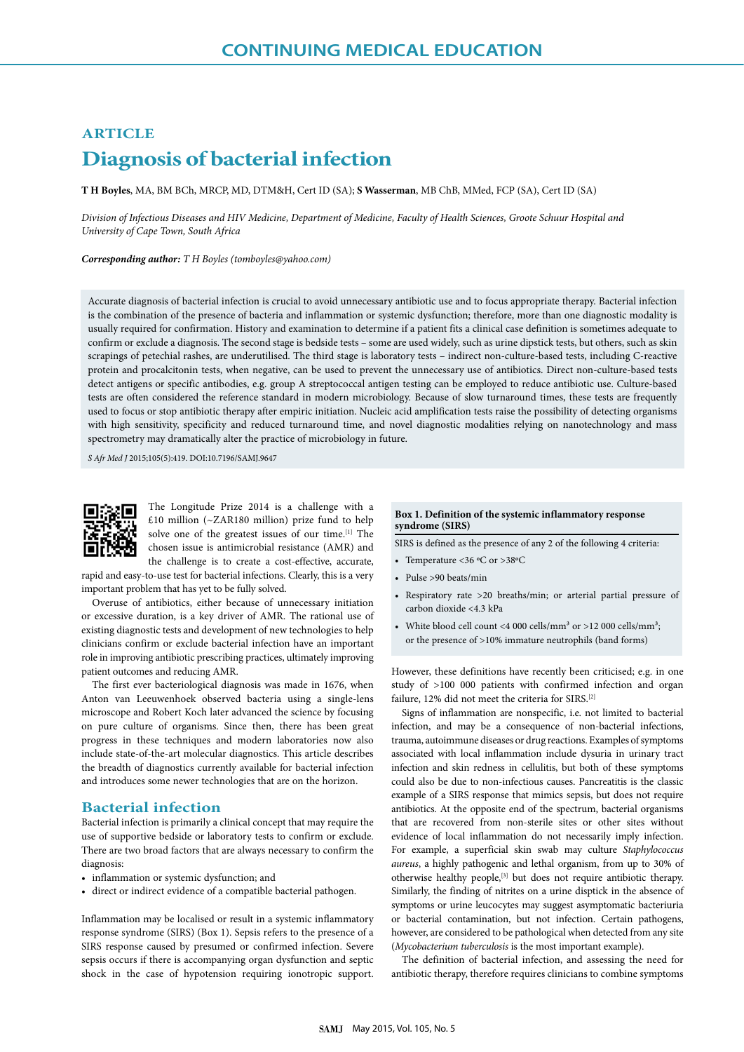# **ARTICLE Diagnosis of bacterial infection**

**T H Boyles**, MA, BM BCh, MRCP, MD, DTM&H, Cert ID (SA); **S Wasserman**, MB ChB, MMed, FCP (SA), Cert ID (SA)

*Division of Infectious Diseases and HIV Medicine, Department of Medicine, Faculty of Health Sciences, Groote Schuur Hospital and University of Cape Town, South Africa*

*Corresponding author: T H Boyles (tomboyles@yahoo.com)*

Accurate diagnosis of bacterial infection is crucial to avoid unnecessary antibiotic use and to focus appropriate therapy. Bacterial infection is the combination of the presence of bacteria and inflammation or systemic dysfunction; therefore, more than one diagnostic modality is usually required for confirmation. History and examination to determine if a patient fits a clinical case definition is sometimes adequate to confirm or exclude a diagnosis. The second stage is bedside tests – some are used widely, such as urine dipstick tests, but others, such as skin scrapings of petechial rashes, are underutilised. The third stage is laboratory tests – indirect non-culture-based tests, including C-reactive protein and procalcitonin tests, when negative, can be used to prevent the unnecessary use of antibiotics. Direct non-culture-based tests detect antigens or specific antibodies, e.g. group A streptococcal antigen testing can be employed to reduce antibiotic use. Culture-based tests are often considered the reference standard in modern microbiology. Because of slow turnaround times, these tests are frequently used to focus or stop antibiotic therapy after empiric initiation. Nucleic acid amplification tests raise the possibility of detecting organisms with high sensitivity, specificity and reduced turnaround time, and novel diagnostic modalities relying on nanotechnology and mass spectrometry may dramatically alter the practice of microbiology in future.

*S Afr Med J* 2015;105(5):419. DOI:10.7196/SAMJ.9647



The Longitude Prize 2014 is a challenge with a £10 million (~ZAR180 million) prize fund to help solve one of the greatest issues of our time.[1] The chosen issue is antimicrobial resistance (AMR) and the challenge is to create a cost-effective, accurate,

rapid and easy-to-use test for bacterial infections. Clearly, this is a very important problem that has yet to be fully solved.

Overuse of antibiotics, either because of unnecessary initiation or excessive duration, is a key driver of AMR. The rational use of existing diagnostic tests and development of new technologies to help clinicians confirm or exclude bacterial infection have an important role in improving antibiotic prescribing practices, ultimately improving patient outcomes and reducing AMR.

The first ever bacteriological diagnosis was made in 1676, when Anton van Leeuwenhoek observed bacteria using a single-lens microscope and Robert Koch later advanced the science by focusing on pure culture of organisms. Since then, there has been great progress in these techniques and modern laboratories now also include state-of-the-art molecular diagnostics. This article describes the breadth of diagnostics currently available for bacterial infection and introduces some newer technologies that are on the horizon.

## **Bacterial infection**

Bacterial infection is primarily a clinical concept that may require the use of supportive bedside or laboratory tests to confirm or exclude. There are two broad factors that are always necessary to confirm the diagnosis:

- inflammation or systemic dysfunction; and
- direct or indirect evidence of a compatible bacterial pathogen.

Inflammation may be localised or result in a systemic inflammatory response syndrome (SIRS) (Box 1). Sepsis refers to the presence of a SIRS response caused by presumed or confirmed infection. Severe sepsis occurs if there is accompanying organ dysfunction and septic shock in the case of hypotension requiring ionotropic support.

#### **Box 1. Definition of the systemic inflammatory response syndrome (SIRS)**

SIRS is defined as the presence of any 2 of the following 4 criteria:

- Temperature <36 ºC or >38ºC
- Pulse >90 beats/min
- Respiratory rate >20 breaths/min; or arterial partial pressure of carbon dioxide <4.3 kPa
- White blood cell count <4 000 cells/mm<sup>3</sup> or >12 000 cells/mm<sup>3</sup>; or the presence of >10% immature neutrophils (band forms)

However, these definitions have recently been criticised; e.g. in one study of >100 000 patients with confirmed infection and organ failure, 12% did not meet the criteria for SIRS.[2]

Signs of inflammation are nonspecific, i.e. not limited to bacterial infection, and may be a consequence of non-bacterial infections, trauma, autoimmune diseases or drug reactions. Examples of symptoms associated with local inflammation include dysuria in urinary tract infection and skin redness in cellulitis, but both of these symptoms could also be due to non-infectious causes. Pancreatitis is the classic example of a SIRS response that mimics sepsis, but does not require antibiotics. At the opposite end of the spectrum, bacterial organisms that are recovered from non-sterile sites or other sites without evidence of local inflammation do not necessarily imply infection. For example, a superficial skin swab may culture *Staphylococcus aureus*, a highly pathogenic and lethal organism, from up to 30% of otherwise healthy people,[3] but does not require antibiotic therapy. Similarly, the finding of nitrites on a urine disptick in the absence of symptoms or urine leucocytes may suggest asymptomatic bacteriuria or bacterial contamination, but not infection. Certain pathogens, however, are considered to be pathological when detected from any site (*Mycobacterium tuberculosis* is the most important example).

The definition of bacterial infection, and assessing the need for antibiotic therapy, therefore requires clinicians to combine symptoms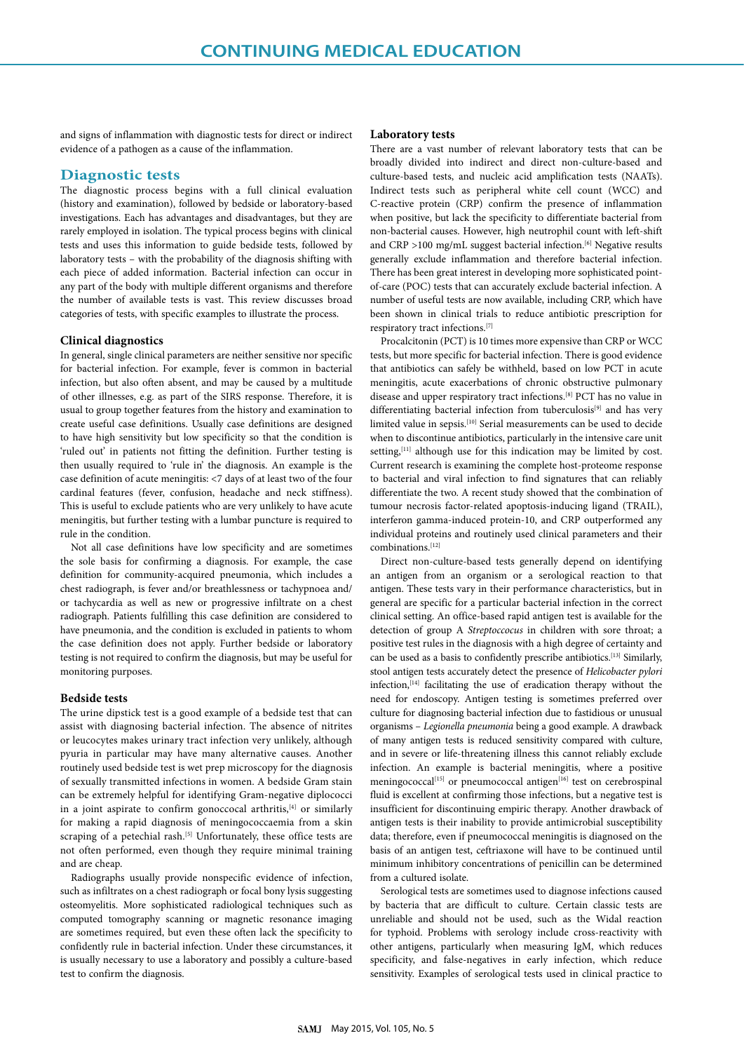and signs of inflammation with diagnostic tests for direct or indirect evidence of a pathogen as a cause of the inflammation.

## **Diagnostic tests**

The diagnostic process begins with a full clinical evaluation (history and examination), followed by bedside or laboratory-based investigations. Each has advantages and disadvantages, but they are rarely employed in isolation. The typical process begins with clinical tests and uses this information to guide bedside tests, followed by laboratory tests – with the probability of the diagnosis shifting with each piece of added information. Bacterial infection can occur in any part of the body with multiple different organisms and therefore the number of available tests is vast. This review discusses broad categories of tests, with specific examples to illustrate the process.

### **Clinical diagnostics**

In general, single clinical parameters are neither sensitive nor specific for bacterial infection. For example, fever is common in bacterial infection, but also often absent, and may be caused by a multitude of other illnesses, e.g. as part of the SIRS response. Therefore, it is usual to group together features from the history and examination to create useful case definitions. Usually case definitions are designed to have high sensitivity but low specificity so that the condition is 'ruled out' in patients not fitting the definition. Further testing is then usually required to 'rule in' the diagnosis. An example is the case definition of acute meningitis: <7 days of at least two of the four cardinal features (fever, confusion, headache and neck stiffness). This is useful to exclude patients who are very unlikely to have acute meningitis, but further testing with a lumbar puncture is required to rule in the condition.

Not all case definitions have low specificity and are sometimes the sole basis for confirming a diagnosis. For example, the case definition for community-acquired pneumonia, which includes a chest radiograph, is fever and/or breathlessness or tachypnoea and/ or tachycardia as well as new or progressive infiltrate on a chest radiograph. Patients fulfilling this case definition are considered to have pneumonia, and the condition is excluded in patients to whom the case definition does not apply. Further bedside or laboratory testing is not required to confirm the diagnosis, but may be useful for monitoring purposes.

#### **Bedside tests**

The urine dipstick test is a good example of a bedside test that can assist with diagnosing bacterial infection. The absence of nitrites or leucocytes makes urinary tract infection very unlikely, although pyuria in particular may have many alternative causes. Another routinely used bedside test is wet prep microscopy for the diagnosis of sexually transmitted infections in women. A bedside Gram stain can be extremely helpful for identifying Gram-negative diplococci in a joint aspirate to confirm gonoccocal arthritis,<sup>[4]</sup> or similarly for making a rapid diagnosis of meningococcaemia from a skin scraping of a petechial rash.<sup>[5]</sup> Unfortunately, these office tests are not often performed, even though they require minimal training and are cheap.

Radiographs usually provide nonspecific evidence of infection, such as infiltrates on a chest radiograph or focal bony lysis suggesting osteomyelitis. More sophisticated radiological techniques such as computed tomography scanning or magnetic resonance imaging are sometimes required, but even these often lack the specificity to confidently rule in bacterial infection. Under these circumstances, it is usually necessary to use a laboratory and possibly a culture-based test to confirm the diagnosis.

#### **Laboratory tests**

There are a vast number of relevant laboratory tests that can be broadly divided into indirect and direct non-culture-based and culture-based tests, and nucleic acid amplification tests (NAATs). Indirect tests such as peripheral white cell count (WCC) and C-reactive protein (CRP) confirm the presence of inflammation when positive, but lack the specificity to differentiate bacterial from non-bacterial causes. However, high neutrophil count with left-shift and CRP  $>100$  mg/mL suggest bacterial infection.<sup>[6]</sup> Negative results generally exclude inflammation and therefore bacterial infection. There has been great interest in developing more sophisticated pointof-care (POC) tests that can accurately exclude bacterial infection. A number of useful tests are now available, including CRP, which have been shown in clinical trials to reduce antibiotic prescription for respiratory tract infections.[7]

Procalcitonin (PCT) is 10 times more expensive than CRP or WCC tests, but more specific for bacterial infection. There is good evidence that antibiotics can safely be withheld, based on low PCT in acute meningitis, acute exacerbations of chronic obstructive pulmonary disease and upper respiratory tract infections.[8] PCT has no value in differentiating bacterial infection from tuberculosis<sup>[9]</sup> and has very limited value in sepsis.[10] Serial measurements can be used to decide when to discontinue antibiotics, particularly in the intensive care unit setting,<sup>[11]</sup> although use for this indication may be limited by cost. Current research is examining the complete host-proteome response to bacterial and viral infection to find signatures that can reliably differentiate the two. A recent study showed that the combination of tumour necrosis factor-related apoptosis-inducing ligand (TRAIL), interferon gamma-induced protein-10, and CRP outperformed any individual proteins and routinely used clinical parameters and their combinations.[12]

Direct non-culture-based tests generally depend on identifying an antigen from an organism or a serological reaction to that antigen. These tests vary in their performance characteristics, but in general are specific for a particular bacterial infection in the correct clinical setting. An office-based rapid antigen test is available for the detection of group A *Streptoccocus* in children with sore throat; a positive test rules in the diagnosis with a high degree of certainty and can be used as a basis to confidently prescribe antibiotics.[13] Similarly, stool antigen tests accurately detect the presence of *Helicobacter pylori*  infection,[14] facilitating the use of eradication therapy without the need for endoscopy. Antigen testing is sometimes preferred over culture for diagnosing bacterial infection due to fastidious or unusual organisms – *Legionella pneumonia* being a good example. A drawback of many antigen tests is reduced sensitivity compared with culture, and in severe or life-threatening illness this cannot reliably exclude infection. An example is bacterial meningitis, where a positive meningococcal<sup>[15]</sup> or pneumococcal antigen<sup>[16]</sup> test on cerebrospinal fluid is excellent at confirming those infections, but a negative test is insufficient for discontinuing empiric therapy. Another drawback of antigen tests is their inability to provide antimicrobial susceptibility data; therefore, even if pneumococcal meningitis is diagnosed on the basis of an antigen test, ceftriaxone will have to be continued until minimum inhibitory concentrations of penicillin can be determined from a cultured isolate.

Serological tests are sometimes used to diagnose infections caused by bacteria that are difficult to culture. Certain classic tests are unreliable and should not be used, such as the Widal reaction for typhoid. Problems with serology include cross-reactivity with other antigens, particularly when measuring IgM, which reduces specificity, and false-negatives in early infection, which reduce sensitivity. Examples of serological tests used in clinical practice to